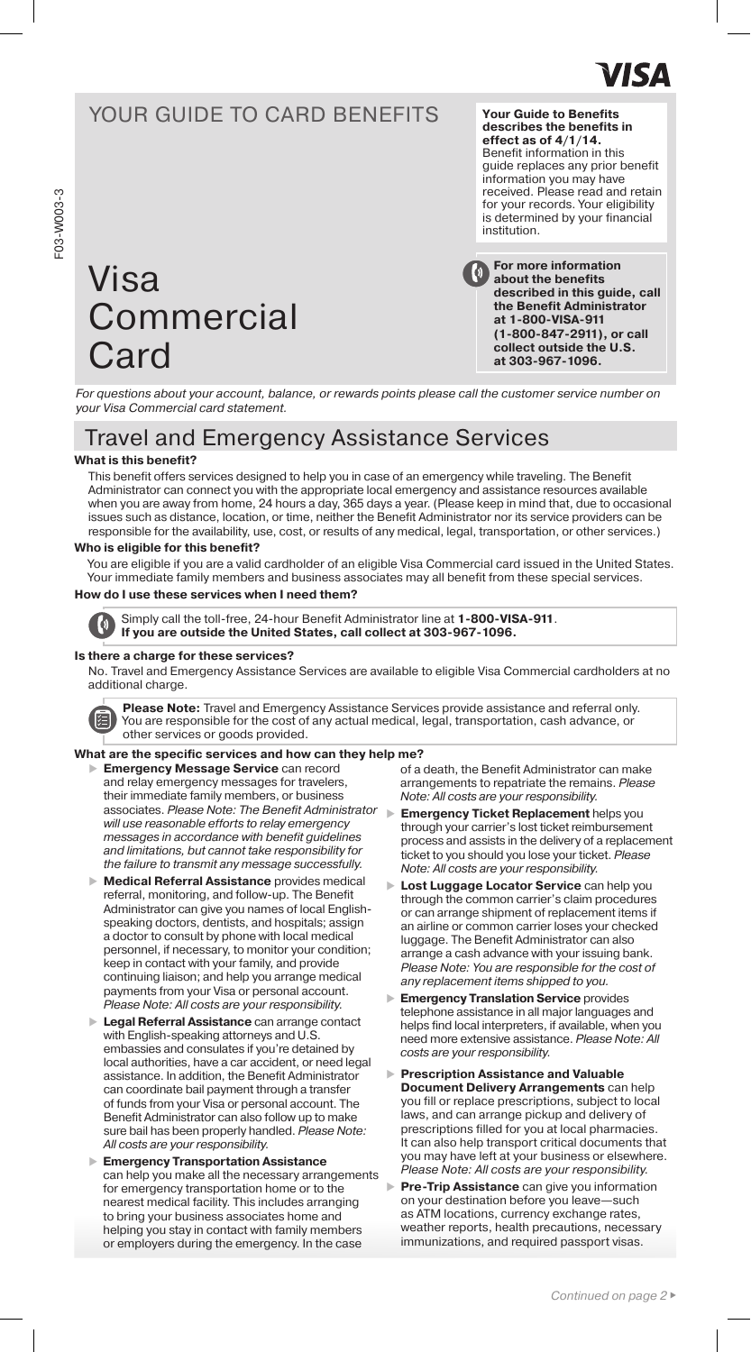

## YOUR GUIDE TO CARD BENEFITS

# Visa **Commercial Card**

**For more information**  Benefit information in this guide replaces any prior benefit information you may have received. Please read and retain for your records. Your eligibility is determined by your financial institution.

**Your Guide to Benefits describes the benefits in effect as of 4/1/14.** 

**about the benefits described in this guide, call the Benefit Administrator at 1-800-VISA-911 (1-800-847-2911), or call collect outside the U.S. at 303-967-1096.**

*For questions about your account, balance, or rewards points please call the customer service number on your Visa Commercial card statement.*

## Travel and Emergency Assistance Services

## **What is this benefit?**

This benefit offers services designed to help you in case of an emergency while traveling. The Benefit Administrator can connect you with the appropriate local emergency and assistance resources available when you are away from home, 24 hours a day, 365 days a year. (Please keep in mind that, due to occasional issues such as distance, location, or time, neither the Benefit Administrator nor its service providers can be responsible for the availability, use, cost, or results of any medical, legal, transportation, or other services.)

## **Who is eligible for this benefit?**

You are eligible if you are a valid cardholder of an eligible Visa Commercial card issued in the United States. Your immediate family members and business associates may all benefit from these special services.

## **How do I use these services when I need them?**



Simply call the toll-free, 24-hour Benefit Administrator line at **1-800-VISA-911**. **If you are outside the United States, call collect at 303-967-1096.**

### **Is there a charge for these services?**

No. Travel and Emergency Assistance Services are available to eligible Visa Commercial cardholders at no additional charge.



**Please Note:** Travel and Emergency Assistance Services provide assistance and referral only. You are responsible for the cost of any actual medical, legal, transportation, cash advance, or other services or goods provided.

### **What are the specific services and how can they help me?**

- **Emergency Message Service** can record and relay emergency messages for travelers, their immediate family members, or business associates. *Please Note: The Benefit Administrator will use reasonable efforts to relay emergency messages in accordance with benefit guidelines and limitations, but cannot take responsibility for the failure to transmit any message successfully.*
- **Medical Referral Assistance** provides medical referral, monitoring, and follow-up. The Benefit Administrator can give you names of local Englishspeaking doctors, dentists, and hospitals; assign a doctor to consult by phone with local medical personnel, if necessary, to monitor your condition; keep in contact with your family, and provide continuing liaison; and help you arrange medical payments from your Visa or personal account. *Please Note: All costs are your responsibility.*
- **Legal Referral Assistance** can arrange contact with English-speaking attorneys and U.S. embassies and consulates if you're detained by local authorities, have a car accident, or need legal assistance. In addition, the Benefit Administrator can coordinate bail payment through a transfer of funds from your Visa or personal account. The Benefit Administrator can also follow up to make sure bail has been properly handled. *Please Note: All costs are your responsibility.*
- **Emergency Transportation Assistance** can help you make all the necessary arrangements for emergency transportation home or to the nearest medical facility. This includes arranging to bring your business associates home and helping you stay in contact with family members or employers during the emergency. In the case

of a death, the Benefit Administrator can make arrangements to repatriate the remains. *Please Note: All costs are your responsibility.*

- **Emergency Ticket Replacement** helps you through your carrier's lost ticket reimbursement process and assists in the delivery of a replacement ticket to you should you lose your ticket. *Please Note: All costs are your responsibility.*
- **Lost Luggage Locator Service** can help you through the common carrier's claim procedures or can arrange shipment of replacement items if an airline or common carrier loses your checked luggage. The Benefit Administrator can also arrange a cash advance with your issuing bank. *Please Note: You are responsible for the cost of any replacement items shipped to you.*
- **Emergency Translation Service** provides telephone assistance in all major languages and helps find local interpreters, if available, when you need more extensive assistance. *Please Note: All costs are your responsibility.*
- **Prescription Assistance and Valuable Document Delivery Arrangements** can help you fill or replace prescriptions, subject to local laws, and can arrange pickup and delivery of prescriptions filled for you at local pharmacies. It can also help transport critical documents that you may have left at your business or elsewhere. *Please Note: All costs are your responsibility.*
- **Pre-Trip Assistance** can give you information on your destination before you leave—such as ATM locations, currency exchange rates, weather reports, health precautions, necessary immunizations, and required passport visas.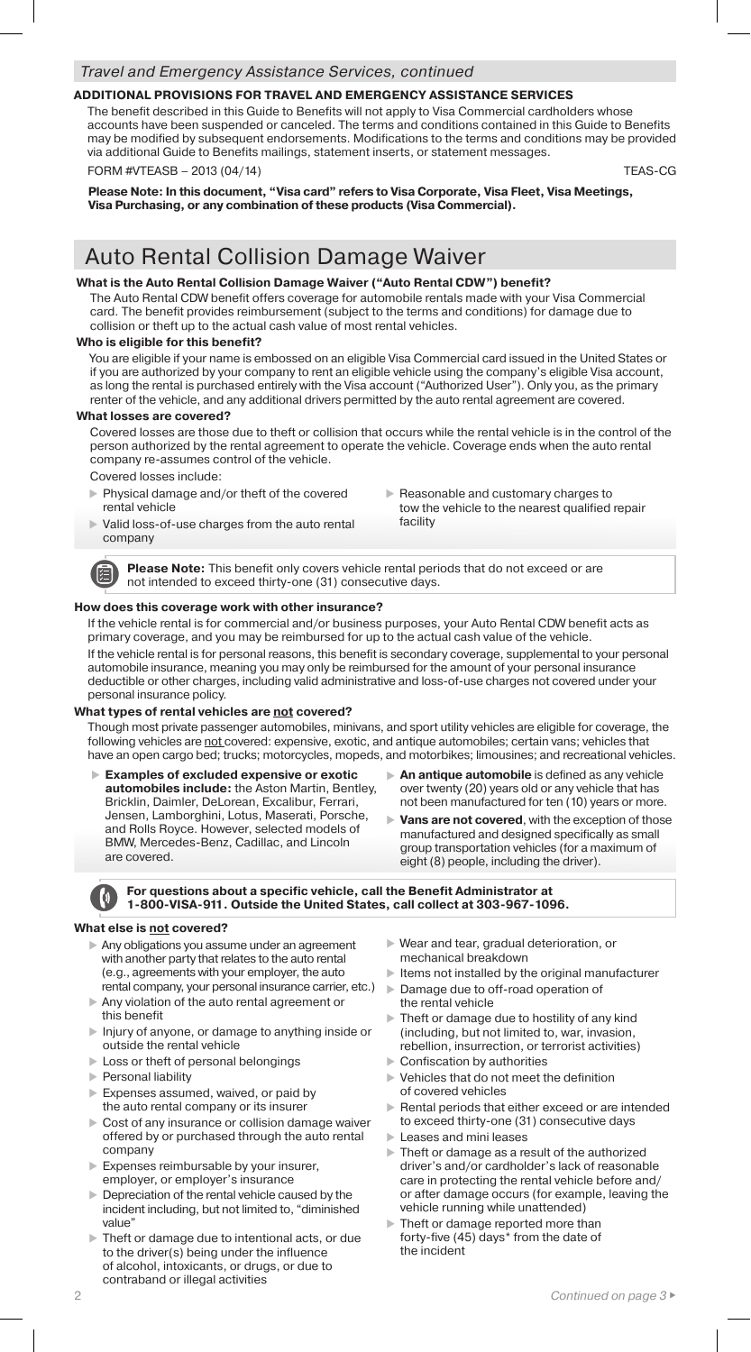## **ADDITIONAL PROVISIONS FOR TRAVEL AND EMERGENCY ASSISTANCE SERVICES**

The benefit described in this Guide to Benefits will not apply to Visa Commercial cardholders whose accounts have been suspended or canceled. The terms and conditions contained in this Guide to Benefits may be modified by subsequent endorsements. Modifications to the terms and conditions may be provided via additional Guide to Benefits mailings, statement inserts, or statement messages.

FORM #VTEASB – 2013 (04/14) TEAS-CG

**Please Note: In this document, "Visa card" refers to Visa Corporate, Visa Fleet, Visa Meetings, Visa Purchasing, or any combination of these products (Visa Commercial).** 

## Auto Rental Collision Damage Waiver

## **What is the Auto Rental Collision Damage Waiver ("Auto Rental CDW") benefit?**

The Auto Rental CDW benefit offers coverage for automobile rentals made with your Visa Commercial card. The benefit provides reimbursement (subject to the terms and conditions) for damage due to collision or theft up to the actual cash value of most rental vehicles.

## **Who is eligible for this benefit?**

You are eligible if your name is embossed on an eligible Visa Commercial card issued in the United States or if you are authorized by your company to rent an eligible vehicle using the company's eligible Visa account, as long the rental is purchased entirely with the Visa account ("Authorized User"). Only you, as the primary renter of the vehicle, and any additional drivers permitted by the auto rental agreement are covered.

### **What losses are covered?**

Covered losses are those due to theft or collision that occurs while the rental vehicle is in the control of the person authorized by the rental agreement to operate the vehicle. Coverage ends when the auto rental company re-assumes control of the vehicle.

Covered losses include:

【三

- Physical damage and/or theft of the covered rental vehicle
- Reasonable and customary charges to tow the vehicle to the nearest qualified repair facility
- Valid loss-of-use charges from the auto rental company

**Please Note:** This benefit only covers vehicle rental periods that do not exceed or are not intended to exceed thirty-one (31) consecutive days.

### **How does this coverage work with other insurance?**

If the vehicle rental is for commercial and/or business purposes, your Auto Rental CDW benefit acts as primary coverage, and you may be reimbursed for up to the actual cash value of the vehicle.

If the vehicle rental is for personal reasons, this benefit is secondary coverage, supplemental to your personal automobile insurance, meaning you may only be reimbursed for the amount of your personal insurance deductible or other charges, including valid administrative and loss-of-use charges not covered under your personal insurance policy.

## **What types of rental vehicles are not covered?**

Though most private passenger automobiles, minivans, and sport utility vehicles are eligible for coverage, the following vehicles are not covered: expensive, exotic, and antique automobiles; certain vans; vehicles that have an open cargo bed; trucks; motorcycles, mopeds, and motorbikes; limousines; and recreational vehicles.

 **Examples of excluded expensive or exotic automobiles include:** the Aston Martin, Bentley, Bricklin, Daimler, DeLorean, Excalibur, Ferrari, Jensen, Lamborghini, Lotus, Maserati, Porsche, and Rolls Royce. However, selected models of BMW, Mercedes-Benz, Cadillac, and Lincoln are covered.

- **An antique automobile** is defined as any vehicle over twenty (20) years old or any vehicle that has not been manufactured for ten (10) years or more.
- **Vans are not covered**, with the exception of those manufactured and designed specifically as small group transportation vehicles (for a maximum of eight (8) people, including the driver).

## **For questions about a specific vehicle, call the Benefit Administrator at 1-800-VISA-911. Outside the United States, call collect at 303-967-1096.**

## **What else is not covered?**

- Any obligations you assume under an agreement with another party that relates to the auto rental (e.g., agreements with your employer, the auto rental company, your personal insurance carrier, etc.)
- Any violation of the auto rental agreement or this benefit
- Injury of anyone, or damage to anything inside or outside the rental vehicle
- **Loss or theft of personal belongings**
- $\blacktriangleright$  Personal liability
- Expenses assumed, waived, or paid by the auto rental company or its insurer
- Cost of any insurance or collision damage waiver offered by or purchased through the auto rental company
- Expenses reimbursable by your insurer, employer, or employer's insurance
- Depreciation of the rental vehicle caused by the incident including, but not limited to, "diminished value"
- Theft or damage due to intentional acts, or due to the driver(s) being under the influence of alcohol, intoxicants, or drugs, or due to contraband or illegal activities
- Wear and tear, gradual deterioration, or mechanical breakdown
- $\blacktriangleright$  Items not installed by the original manufacturer
- Damage due to off-road operation of the rental vehicle
- Theft or damage due to hostility of any kind (including, but not limited to, war, invasion, rebellion, insurrection, or terrorist activities)
- Confiscation by authorities
- Vehicles that do not meet the definition of covered vehicles
- Rental periods that either exceed or are intended to exceed thirty-one (31) consecutive days
- **Leases and mini leases**
- Theft or damage as a result of the authorized driver's and/or cardholder's lack of reasonable care in protecting the rental vehicle before and/ or after damage occurs (for example, leaving the vehicle running while unattended)
- **Theft or damage reported more than** forty-five (45) days\* from the date of the incident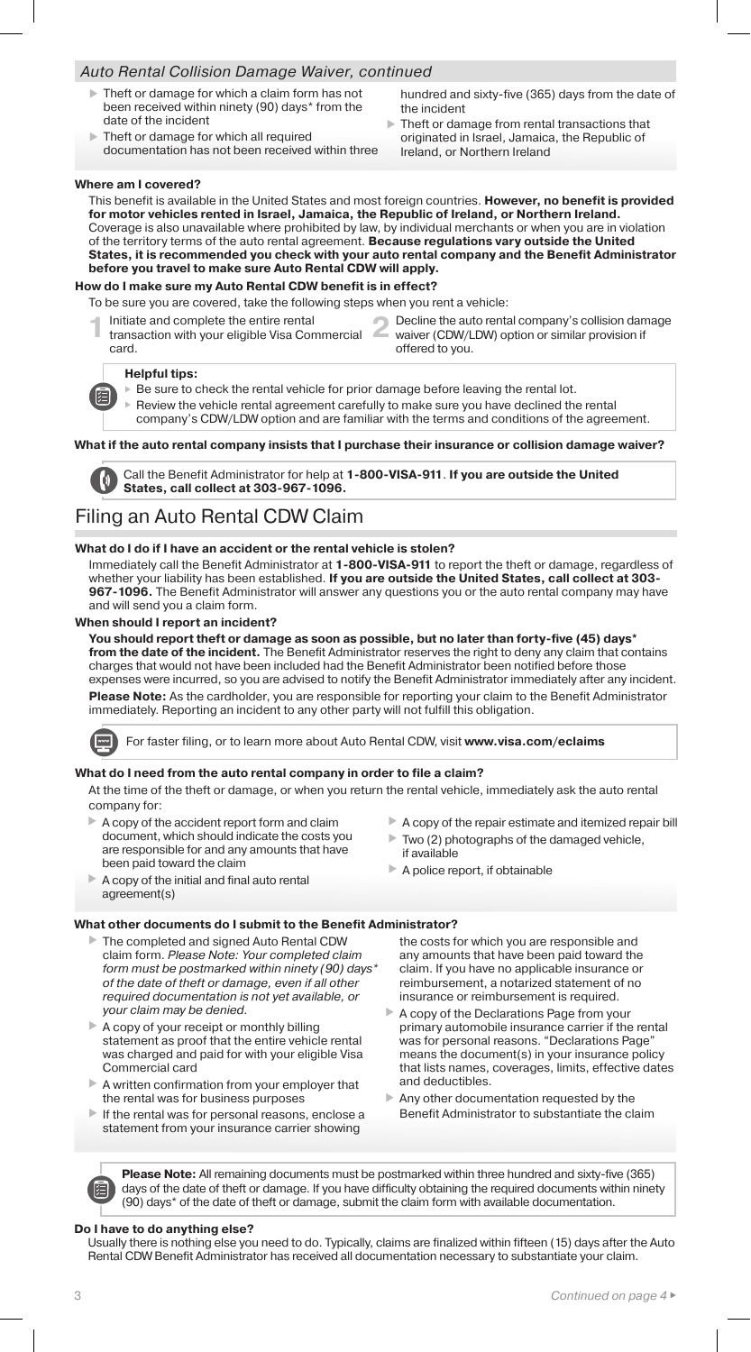## *Auto Rental Collision Damage Waiver, continued*

- Theft or damage for which a claim form has not been received within ninety (90) days\* from the date of the incident
- Theft or damage for which all required documentation has not been received within three
- hundred and sixty-five (365) days from the date of the incident
- Theft or damage from rental transactions that originated in Israel, Jamaica, the Republic of Ireland, or Northern Ireland

#### **Where am I covered?**

This benefit is available in the United States and most foreign countries. **However, no benefit is provided for motor vehicles rented in Israel, Jamaica, the Republic of Ireland, or Northern Ireland.** Coverage is also unavailable where prohibited by law, by individual merchants or when you are in violation of the territory terms of the auto rental agreement. **Because regulations vary outside the United States, it is recommended you check with your auto rental company and the Benefit Administrator before you travel to make sure Auto Rental CDW will apply.**

## **How do I make sure my Auto Rental CDW benefit is in effect?**

To be sure you are covered, take the following steps when you rent a vehicle:

- 
- **1 2** Initiate and complete the entire rental transaction with your eligible Visa Commercial card.
- Decline the auto rental company's collision damage waiver (CDW/LDW) option or similar provision if offered to you.

#### **Helpful tips:**

阣

 $\triangleright$  Be sure to check the rental vehicle for prior damage before leaving the rental lot.

 Review the vehicle rental agreement carefully to make sure you have declined the rental company's CDW/LDW option and are familiar with the terms and conditions of the agreement.

#### **What if the auto rental company insists that I purchase their insurance or collision damage waiver?**

Call the Benefit Administrator for help at **1-800-VISA-911**. **If you are outside the United States, call collect at 303-967-1096.**

## Filing an Auto Rental CDW Claim

### **What do I do if I have an accident or the rental vehicle is stolen?**

Immediately call the Benefit Administrator at **1-800-VISA-911** to report the theft or damage, regardless of whether your liability has been established. **If you are outside the United States, call collect at 303- 967-1096.** The Benefit Administrator will answer any questions you or the auto rental company may have and will send you a claim form.

#### **When should I report an incident?**

**You should report theft or damage as soon as possible, but no later than forty-five (45) days\* from the date of the incident.** The Benefit Administrator reserves the right to deny any claim that contains charges that would not have been included had the Benefit Administrator been notified before those expenses were incurred, so you are advised to notify the Benefit Administrator immediately after any incident. **Please Note:** As the cardholder, you are responsible for reporting your claim to the Benefit Administrator immediately. Reporting an incident to any other party will not fulfill this obligation.

For faster filing, or to learn more about Auto Rental CDW, visit **www.visa.com/eclaims**

#### **What do I need from the auto rental company in order to file a claim?**

At the time of the theft or damage, or when you return the rental vehicle, immediately ask the auto rental company for:

- A copy of the accident report form and claim document, which should indicate the costs you are responsible for and any amounts that have been paid toward the claim
- $\blacktriangleright$  A copy of the initial and final auto rental agreement(s)

## $\blacktriangleright$  A copy of the repair estimate and itemized repair bill

- $\triangleright$  Two (2) photographs of the damaged vehicle, if available
- $\blacktriangleright$  A police report, if obtainable

## **What other documents do I submit to the Benefit Administrator?**

- ▶ The completed and signed Auto Rental CDW claim form. *Please Note: Your completed claim form must be postmarked within ninety (90) days\* of the date of theft or damage, even if all other required documentation is not yet available, or your claim may be denied.*
- A copy of your receipt or monthly billing statement as proof that the entire vehicle rental was charged and paid for with your eligible Visa Commercial card
- A written confirmation from your employer that the rental was for business purposes
- $\blacktriangleright$  If the rental was for personal reasons, enclose a statement from your insurance carrier showing

the costs for which you are responsible and any amounts that have been paid toward the claim. If you have no applicable insurance or reimbursement, a notarized statement of no insurance or reimbursement is required.

- A copy of the Declarations Page from your primary automobile insurance carrier if the rental was for personal reasons. "Declarations Page means the document(s) in your insurance policy that lists names, coverages, limits, effective dates and deductibles.
- Any other documentation requested by the Benefit Administrator to substantiate the claim

**Please Note:** All remaining documents must be postmarked within three hundred and sixty-five (365) days of the date of theft or damage. If you have difficulty obtaining the required documents within ninety (90) days\* of the date of theft or damage, submit the claim form with available documentation.

#### **Do I have to do anything else?**

Usually there is nothing else you need to do. Typically, claims are finalized within fifteen (15) days after the Auto Rental CDW Benefit Administrator has received all documentation necessary to substantiate your claim.

阳